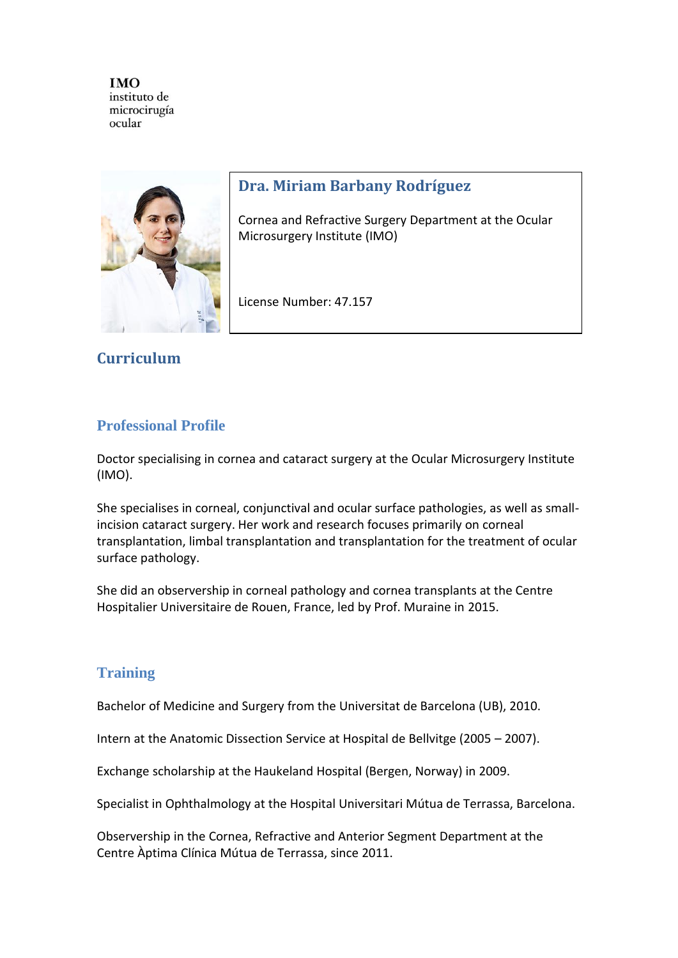

# **Dra. Miriam Barbany Rodríguez**

Cornea and Refractive Surgery Department at the Ocular Microsurgery Institute (IMO)

License Number: 47.157

# **Curriculum**

## **Professional Profile**

Doctor specialising in cornea and cataract surgery at the Ocular Microsurgery Institute (IMO).

She specialises in corneal, conjunctival and ocular surface pathologies, as well as smallincision cataract surgery. Her work and research focuses primarily on corneal transplantation, limbal transplantation and transplantation for the treatment of ocular surface pathology.

She did an observership in corneal pathology and cornea transplants at the Centre Hospitalier Universitaire de Rouen, France, led by Prof. Muraine in 2015.

# **Training**

Bachelor of Medicine and Surgery from the Universitat de Barcelona (UB), 2010.

Intern at the Anatomic Dissection Service at Hospital de Bellvitge (2005 – 2007).

Exchange scholarship at the Haukeland Hospital (Bergen, Norway) in 2009.

Specialist in Ophthalmology at the Hospital Universitari Mútua de Terrassa, Barcelona.

Observership in the Cornea, Refractive and Anterior Segment Department at the Centre Àptima Clínica Mútua de Terrassa, since 2011.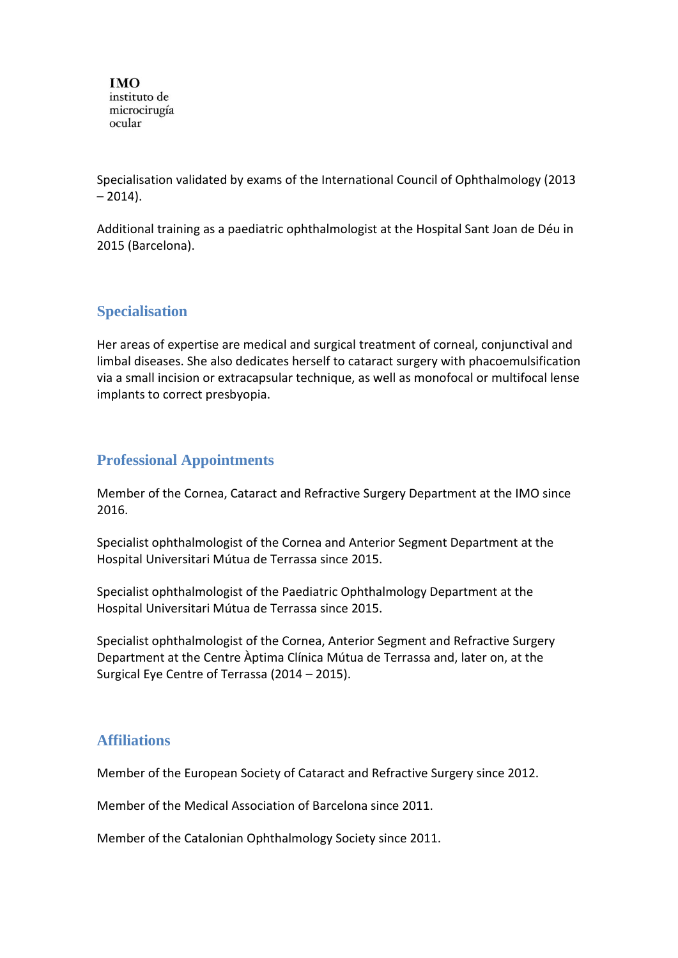Specialisation validated by exams of the International Council of Ophthalmology (2013  $-2014$ ).

Additional training as a paediatric ophthalmologist at the Hospital Sant Joan de Déu in 2015 (Barcelona).

# **Specialisation**

Her areas of expertise are medical and surgical treatment of corneal, conjunctival and limbal diseases. She also dedicates herself to cataract surgery with phacoemulsification via a small incision or extracapsular technique, as well as monofocal or multifocal lense implants to correct presbyopia.

### **Professional Appointments**

Member of the Cornea, Cataract and Refractive Surgery Department at the IMO since 2016.

Specialist ophthalmologist of the Cornea and Anterior Segment Department at the Hospital Universitari Mútua de Terrassa since 2015.

Specialist ophthalmologist of the Paediatric Ophthalmology Department at the Hospital Universitari Mútua de Terrassa since 2015.

Specialist ophthalmologist of the Cornea, Anterior Segment and Refractive Surgery Department at the Centre Àptima Clínica Mútua de Terrassa and, later on, at the Surgical Eye Centre of Terrassa (2014 – 2015).

#### **Affiliations**

Member of the European Society of Cataract and Refractive Surgery since 2012.

Member of the Medical Association of Barcelona since 2011.

Member of the Catalonian Ophthalmology Society since 2011.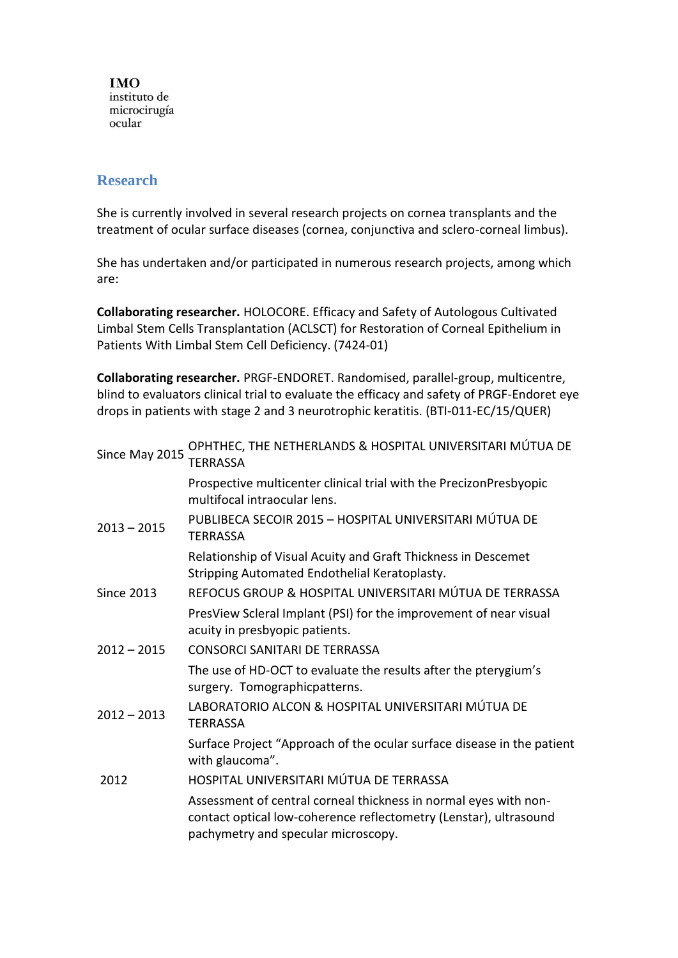## **Research**

She is currently involved in several research projects on cornea transplants and the treatment of ocular surface diseases (cornea, conjunctiva and sclero-corneal limbus).

She has undertaken and/or participated in numerous research projects, among which are:

**Collaborating researcher.** HOLOCORE. Efficacy and Safety of Autologous Cultivated Limbal Stem Cells Transplantation (ACLSCT) for Restoration of Corneal Epithelium in Patients With Limbal Stem Cell Deficiency. (7424-01)

**Collaborating researcher.** PRGF-ENDORET. Randomised, parallel-group, multicentre, blind to evaluators clinical trial to evaluate the efficacy and safety of PRGF-Endoret eye drops in patients with stage 2 and 3 neurotrophic keratitis. (BTI-011-EC/15/QUER)

| Since May 2015    | OPHTHEC, THE NETHERLANDS & HOSPITAL UNIVERSITARI MÚTUA DE<br>TFRRASSA                                                                                                        |
|-------------------|------------------------------------------------------------------------------------------------------------------------------------------------------------------------------|
|                   | Prospective multicenter clinical trial with the PrecizonPresbyopic<br>multifocal intraocular lens.                                                                           |
| $2013 - 2015$     | PUBLIBECA SECOIR 2015 - HOSPITAL UNIVERSITARI MÚTUA DE<br>TFRRASSA                                                                                                           |
|                   | Relationship of Visual Acuity and Graft Thickness in Descemet<br>Stripping Automated Endothelial Keratoplasty.                                                               |
| <b>Since 2013</b> | REFOCUS GROUP & HOSPITAL UNIVERSITARI MÚTUA DE TERRASSA                                                                                                                      |
|                   | PresView Scleral Implant (PSI) for the improvement of near visual<br>acuity in presbyopic patients.                                                                          |
| $2012 - 2015$     | <b>CONSORCI SANITARI DE TERRASSA</b>                                                                                                                                         |
|                   | The use of HD-OCT to evaluate the results after the pterygium's<br>surgery. Tomographicpatterns.                                                                             |
| $2012 - 2013$     | LABORATORIO ALCON & HOSPITAL UNIVERSITARI MÚTUA DE<br><b>TERRASSA</b>                                                                                                        |
|                   | Surface Project "Approach of the ocular surface disease in the patient<br>with glaucoma".                                                                                    |
| 2012              | HOSPITAL UNIVERSITARI MÚTUA DE TERRASSA                                                                                                                                      |
|                   | Assessment of central corneal thickness in normal eyes with non-<br>contact optical low-coherence reflectometry (Lenstar), ultrasound<br>pachymetry and specular microscopy. |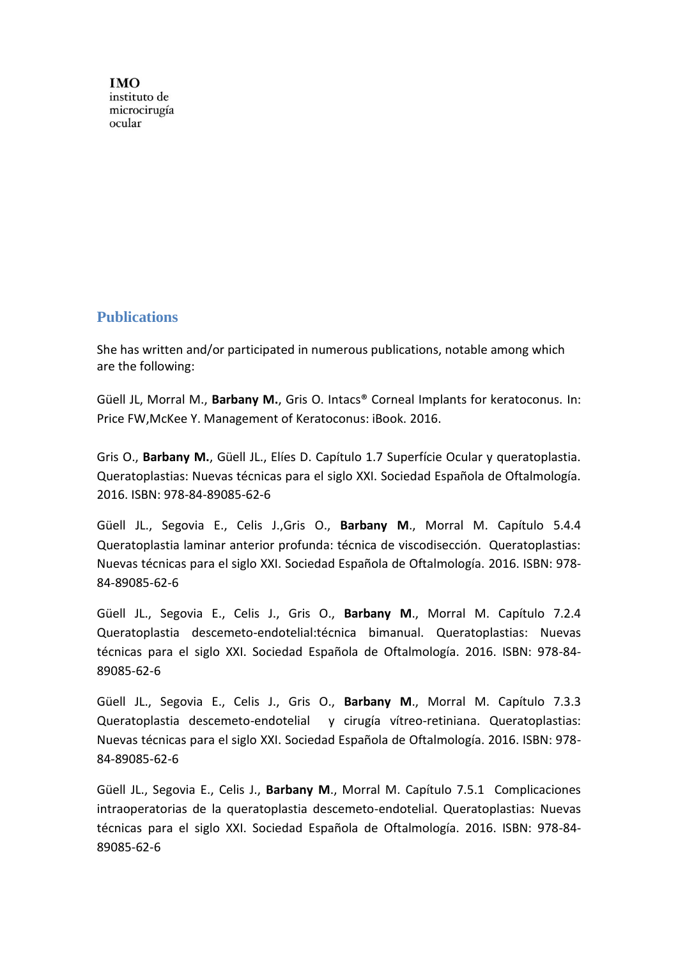#### **Publications**

She has written and/or participated in numerous publications, notable among which are the following:

Güell JL, Morral M., **Barbany M.**, Gris O. Intacs® Corneal Implants for keratoconus. In: Price FW,McKee Y. Management of Keratoconus: iBook. 2016.

Gris O., **Barbany M.**, Güell JL., Elíes D. Capítulo 1.7 Superfície Ocular y queratoplastia. Queratoplastias: Nuevas técnicas para el siglo XXI. Sociedad Española de Oftalmología. 2016. ISBN: 978-84-89085-62-6

Güell JL., Segovia E., Celis J.,Gris O., **Barbany M**., Morral M. Capítulo 5.4.4 Queratoplastia laminar anterior profunda: técnica de viscodisección. Queratoplastias: Nuevas técnicas para el siglo XXI. Sociedad Española de Oftalmología. 2016. ISBN: 978- 84-89085-62-6

Güell JL., Segovia E., Celis J., Gris O., **Barbany M**., Morral M. Capítulo 7.2.4 Queratoplastia descemeto-endotelial:técnica bimanual. Queratoplastias: Nuevas técnicas para el siglo XXI. Sociedad Española de Oftalmología. 2016. ISBN: 978-84- 89085-62-6

Güell JL., Segovia E., Celis J., Gris O., **Barbany M**., Morral M. Capítulo 7.3.3 Queratoplastia descemeto-endotelial y cirugía vítreo-retiniana. Queratoplastias: Nuevas técnicas para el siglo XXI. Sociedad Española de Oftalmología. 2016. ISBN: 978- 84-89085-62-6

Güell JL., Segovia E., Celis J., **Barbany M**., Morral M. Capítulo 7.5.1 Complicaciones intraoperatorias de la queratoplastia descemeto-endotelial. Queratoplastias: Nuevas técnicas para el siglo XXI. Sociedad Española de Oftalmología. 2016. ISBN: 978-84- 89085-62-6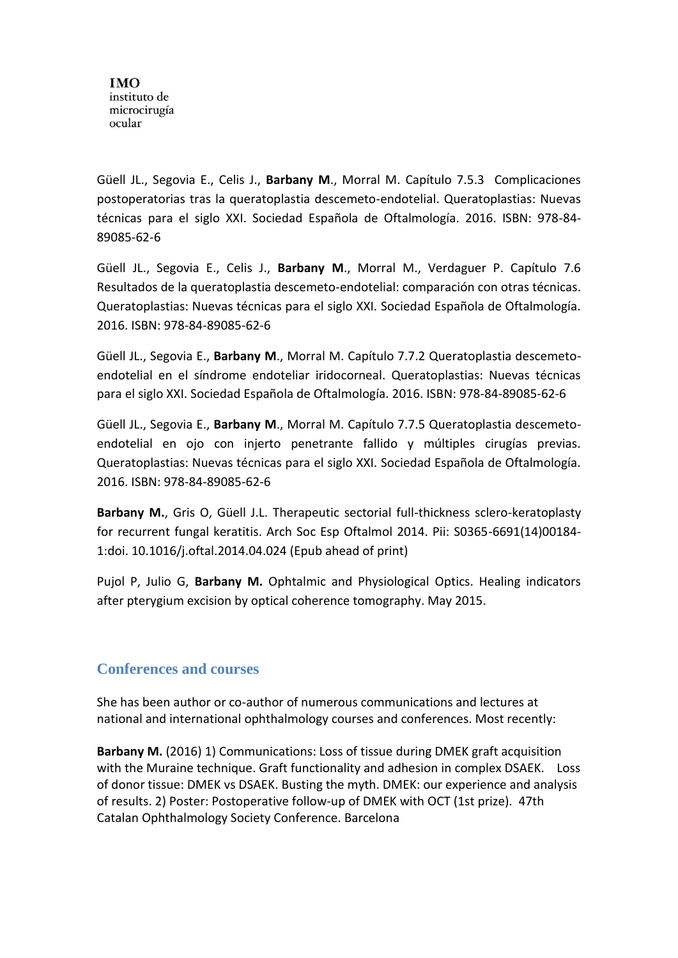Güell JL., Segovia E., Celis J., **Barbany M**., Morral M. Capítulo 7.5.3 Complicaciones postoperatorias tras la queratoplastia descemeto-endotelial. Queratoplastias: Nuevas técnicas para el siglo XXI. Sociedad Española de Oftalmología. 2016. ISBN: 978-84- 89085-62-6

Güell JL., Segovia E., Celis J., **Barbany M**., Morral M., Verdaguer P. Capítulo 7.6 Resultados de la queratoplastia descemeto-endotelial: comparación con otras técnicas. Queratoplastias: Nuevas técnicas para el siglo XXI. Sociedad Española de Oftalmología. 2016. ISBN: 978-84-89085-62-6

Güell JL., Segovia E., **Barbany M**., Morral M. Capítulo 7.7.2 Queratoplastia descemetoendotelial en el síndrome endoteliar iridocorneal. Queratoplastias: Nuevas técnicas para el siglo XXI. Sociedad Española de Oftalmología. 2016. ISBN: 978-84-89085-62-6

Güell JL., Segovia E., **Barbany M**., Morral M. Capítulo 7.7.5 Queratoplastia descemetoendotelial en ojo con injerto penetrante fallido y múltiples cirugías previas. Queratoplastias: Nuevas técnicas para el siglo XXI. Sociedad Española de Oftalmología. 2016. ISBN: 978-84-89085-62-6

**Barbany M.**, Gris O, Güell J.L. Therapeutic sectorial full-thickness sclero-keratoplasty for recurrent fungal keratitis. Arch Soc Esp Oftalmol 2014. Pii: S0365-6691(14)00184- 1:doi. 10.1016/j.oftal.2014.04.024 (Epub ahead of print)

Pujol P, Julio G, **Barbany M.** Ophtalmic and Physiological Optics. Healing indicators after pterygium excision by optical coherence tomography. May 2015.

#### **Conferences and courses**

She has been author or co-author of numerous communications and lectures at national and international ophthalmology courses and conferences. Most recently:

**Barbany M.** (2016) 1) Communications: Loss of tissue during DMEK graft acquisition with the Muraine technique. Graft functionality and adhesion in complex DSAEK. Loss of donor tissue: DMEK vs DSAEK. Busting the myth. DMEK: our experience and analysis of results. 2) Poster: Postoperative follow-up of DMEK with OCT (1st prize). 47th Catalan Ophthalmology Society Conference. Barcelona